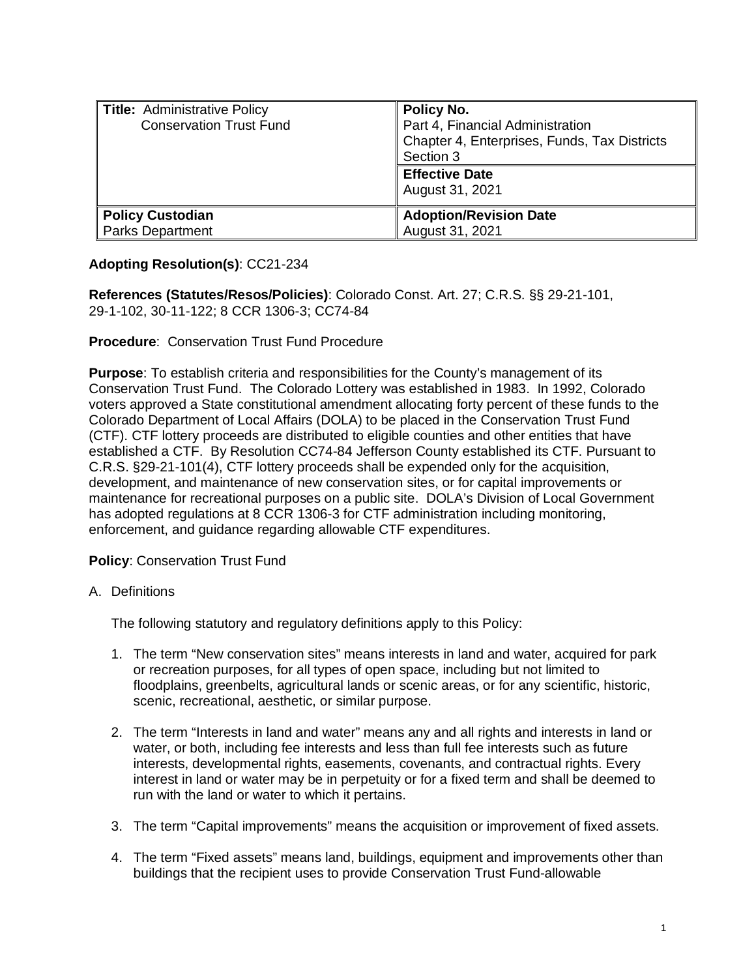| Title: Administrative Policy<br><b>Conservation Trust Fund</b> | Policy No.<br>Part 4, Financial Administration<br>Chapter 4, Enterprises, Funds, Tax Districts<br>Section 3<br><b>Effective Date</b><br>August 31, 2021 |
|----------------------------------------------------------------|---------------------------------------------------------------------------------------------------------------------------------------------------------|
| Policy Custodian                                               | <b>Adoption/Revision Date</b>                                                                                                                           |
| Parks Department                                               | August 31, 2021                                                                                                                                         |

# **Adopting Resolution(s)**: CC21-234

**References (Statutes/Resos/Policies)**: Colorado Const. Art. 27; C.R.S. §§ 29-21-101, 29-1-102, 30-11-122; 8 CCR 1306-3; CC74-84

### **Procedure**: Conservation Trust Fund Procedure

**Purpose**: To establish criteria and responsibilities for the County's management of its Conservation Trust Fund. The Colorado Lottery was established in 1983. In 1992, Colorado voters approved a State constitutional amendment allocating forty percent of these funds to the Colorado Department of Local Affairs (DOLA) to be placed in the Conservation Trust Fund (CTF). CTF lottery proceeds are distributed to eligible counties and other entities that have established a CTF. By Resolution CC74-84 Jefferson County established its CTF. Pursuant to C.R.S. §29-21-101(4), CTF lottery proceeds shall be expended only for the acquisition, development, and maintenance of new conservation sites, or for capital improvements or maintenance for recreational purposes on a public site. DOLA's Division of Local Government has adopted regulations at 8 CCR 1306-3 for CTF administration including monitoring, enforcement, and guidance regarding allowable CTF expenditures.

## **Policy**: Conservation Trust Fund

### A. Definitions

The following statutory and regulatory definitions apply to this Policy:

- 1. The term "New conservation sites" means interests in land and water, acquired for park or recreation purposes, for all types of open space, including but not limited to floodplains, greenbelts, agricultural lands or scenic areas, or for any scientific, historic, scenic, recreational, aesthetic, or similar purpose.
- 2. The term "Interests in land and water" means any and all rights and interests in land or water, or both, including fee interests and less than full fee interests such as future interests, developmental rights, easements, covenants, and contractual rights. Every interest in land or water may be in perpetuity or for a fixed term and shall be deemed to run with the land or water to which it pertains.
- 3. The term "Capital improvements" means the acquisition or improvement of fixed assets.
- 4. The term "Fixed assets" means land, buildings, equipment and improvements other than buildings that the recipient uses to provide Conservation Trust Fund-allowable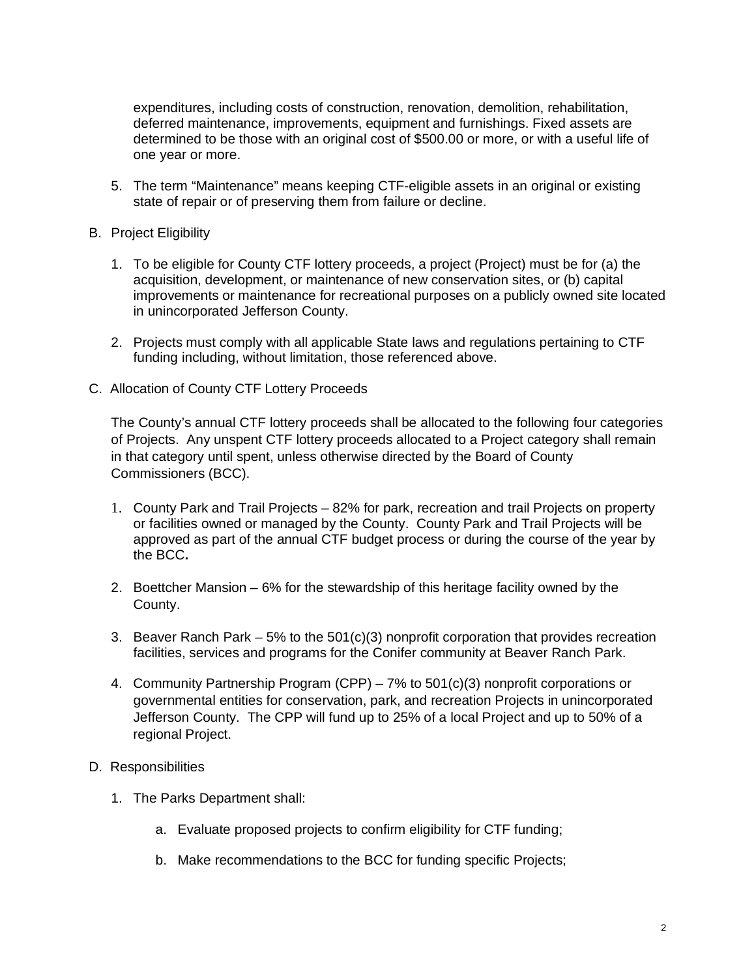expenditures, including costs of construction, renovation, demolition, rehabilitation, deferred maintenance, improvements, equipment and furnishings. Fixed assets are determined to be those with an original cost of \$500.00 or more, or with a useful life of one year or more.

- 5. The term "Maintenance" means keeping CTF-eligible assets in an original or existing state of repair or of preserving them from failure or decline.
- B. Project Eligibility
	- 1. To be eligible for County CTF lottery proceeds, a project (Project) must be for (a) the acquisition, development, or maintenance of new conservation sites, or (b) capital improvements or maintenance for recreational purposes on a publicly owned site located in unincorporated Jefferson County.
	- 2. Projects must comply with all applicable State laws and regulations pertaining to CTF funding including, without limitation, those referenced above.
- C. Allocation of County CTF Lottery Proceeds

The County's annual CTF lottery proceeds shall be allocated to the following four categories of Projects. Any unspent CTF lottery proceeds allocated to a Project category shall remain in that category until spent, unless otherwise directed by the Board of County Commissioners (BCC).

- 1. County Park and Trail Projects 82% for park, recreation and trail Projects on property or facilities owned or managed by the County. County Park and Trail Projects will be approved as part of the annual CTF budget process or during the course of the year by the BCC**.**
- 2. Boettcher Mansion 6% for the stewardship of this heritage facility owned by the County.
- 3. Beaver Ranch Park  $-5\%$  to the 501(c)(3) nonprofit corporation that provides recreation facilities, services and programs for the Conifer community at Beaver Ranch Park.
- 4. Community Partnership Program (CPP) 7% to 501(c)(3) nonprofit corporations or governmental entities for conservation, park, and recreation Projects in unincorporated Jefferson County. The CPP will fund up to 25% of a local Project and up to 50% of a regional Project.

### D. Responsibilities

- 1. The Parks Department shall:
	- a. Evaluate proposed projects to confirm eligibility for CTF funding;
	- b. Make recommendations to the BCC for funding specific Projects;